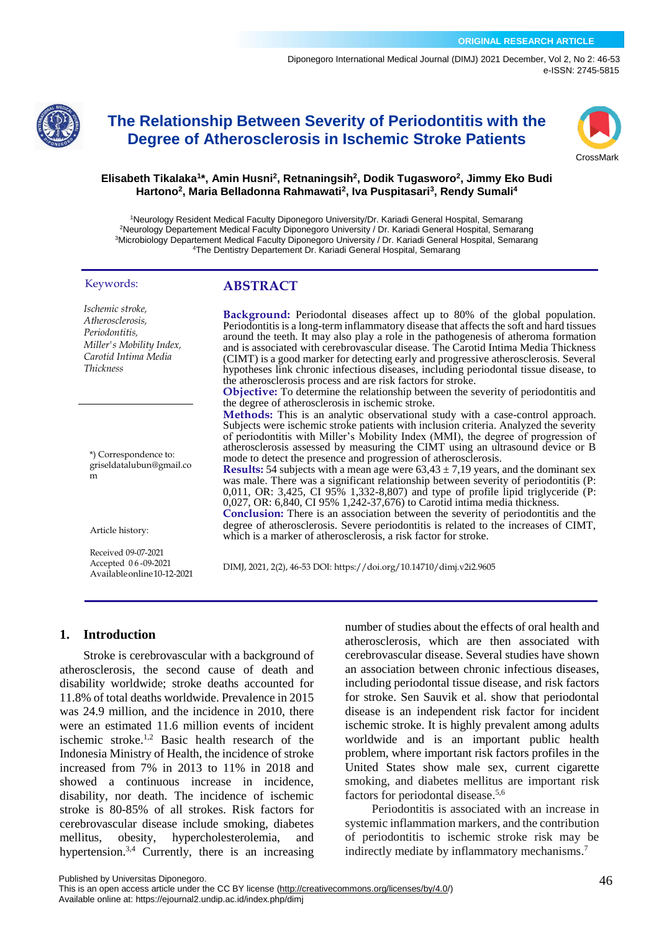[Diponegoro International Medical Journal \(](https://ejournal2.undip.ac.id/index.php/dimj/index)DIMJ) 2021 December, Vol 2, No 2: 46-53 e-ISSN: 2745-5815



# **The Relationship Between Severity of Periodontitis with the Degree of Atherosclerosis in Ischemic Stroke Patients**



#### **Elisabeth Tikalaka<sup>1</sup> \*, Amin Husni<sup>2</sup> , Retnaningsih<sup>2</sup> , Dodik Tugasworo<sup>2</sup> , Jimmy Eko Budi Hartono<sup>2</sup> , Maria Belladonna Rahmawati<sup>2</sup> , Iva Puspitasari<sup>3</sup> , Rendy Sumali<sup>4</sup>**

Neurology Resident Medical Faculty Diponegoro University/Dr. Kariadi General Hospital, Semarang Neurology Departement Medical Faculty Diponegoro University / Dr. Kariadi General Hospital, Semarang Microbiology Departement Medical Faculty Diponegoro University / Dr. Kariadi General Hospital, Semarang The Dentistry Departement Dr. Kariadi General Hospital, Semarang

#### Keywords:

*Ischemic stroke, Atherosclerosis, Periodontitis, Miller's Mobility Index, Carotid Intima Media Thickness*

\*) Correspondence to: griseldatalubun@gmail.co m

Article history:

Received 09-07-2021 Accepted 0 6 -09-2021 Availableonline10-12-2021 **ABSTRACT**

**Background:** Periodontal diseases affect up to 80% of the global population. Periodontitis is a long-term inflammatory disease that affects the soft and hard tissues around the teeth. It may also play a role in the pathogenesis of atheroma formation and is associated with cerebrovascular disease. The Carotid Intima Media Thickness (CIMT) is a good marker for detecting early and progressive atherosclerosis. Several hypotheses link chronic infectious diseases, including periodontal tissue disease, to the atherosclerosis process and are risk factors for stroke.

**Objective:** To determine the relationship between the severity of periodontitis and the degree of atherosclerosis in ischemic stroke.

**Methods:** This is an analytic observational study with a case-control approach. Subjects were ischemic stroke patients with inclusion criteria. Analyzed the severity of periodontitis with Miller's Mobility Index (MMI), the degree of progression of atherosclerosis assessed by measuring the CIMT using an ultrasound device or B mode to detect the presence and progression of atherosclerosis.

**Results:** 54 subjects with a mean age were  $63.43 \pm 7.19$  years, and the dominant sex was male. There was a significant relationship between severity of periodontitis (P: 0,011, OR: 3,425, CI 95% 1,332-8,807) and type of profile lipid triglyceride (P: 0,027, OR: 6,840, CI 95% 1,242-37,676) to Carotid intima media thickness.

Conclusion: There is an association between the severity of periodontitis and the degree of atherosclerosis. Severe periodontitis is related to the increases of CIMT, which is a marker of atherosclerosis, a risk factor for stroke.

DIMJ, 2021, 2(2), 46-53 DOI: https://doi.org/10.14710/dimj.v2i2.9605

#### **1. Introduction**

Stroke is cerebrovascular with a background of atherosclerosis, the second cause of death and disability worldwide; stroke deaths accounted for 11.8% of total deaths worldwide. Prevalence in 2015 was 24.9 million, and the incidence in 2010, there were an estimated 11.6 million events of incident ischemic stroke.1,2 Basic health research of the Indonesia Ministry of Health, the incidence of stroke increased from 7% in 2013 to 11% in 2018 and showed a continuous increase in incidence, disability, nor death. The incidence of ischemic stroke is 80-85% of all strokes. Risk factors for cerebrovascular disease include smoking, diabetes mellitus, obesity, hypercholesterolemia, and hypertension.<sup>3,4</sup> Currently, there is an increasing number of studies about the effects of oral health and atherosclerosis, which are then associated with cerebrovascular disease. Several studies have shown an association between chronic infectious diseases, including periodontal tissue disease, and risk factors for stroke. Sen Sauvik et al. show that periodontal disease is an independent risk factor for incident ischemic stroke. It is highly prevalent among adults worldwide and is an important public health problem, where important risk factors profiles in the United States show male sex, current cigarette smoking, and diabetes mellitus are important risk factors for periodontal disease. 5,6

Periodontitis is associated with an increase in systemic inflammation markers, and the contribution of periodontitis to ischemic stroke risk may be indirectly mediate by inflammatory mechanisms.<sup>7</sup>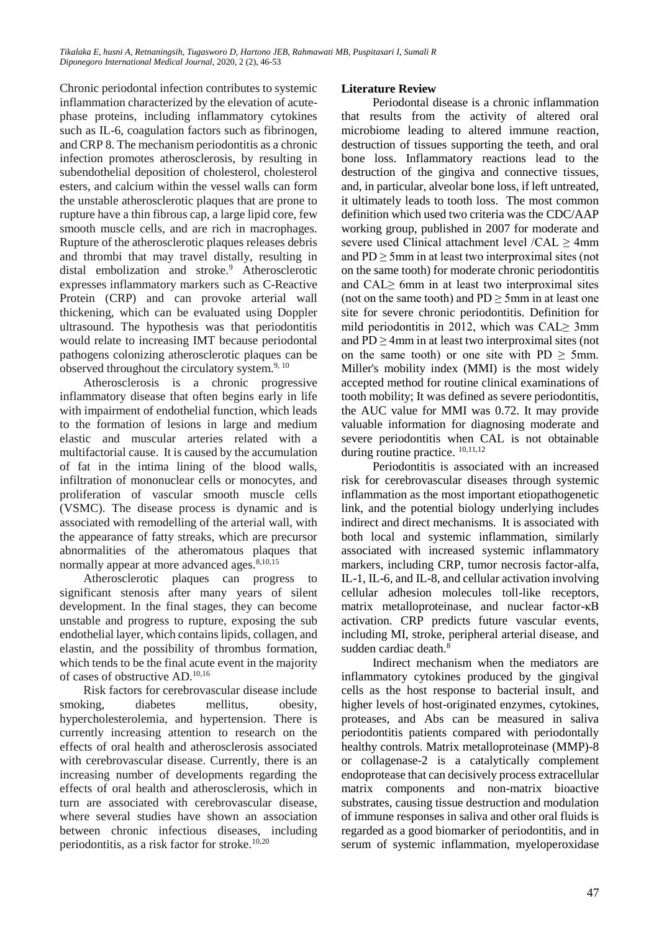Chronic periodontal infection contributes to systemic inflammation characterized by the elevation of acutephase proteins, including inflammatory cytokines such as IL-6, coagulation factors such as fibrinogen, and CRP 8. The mechanism periodontitis as a chronic infection promotes atherosclerosis, by resulting in subendothelial deposition of cholesterol, cholesterol esters, and calcium within the vessel walls can form the unstable atherosclerotic plaques that are prone to rupture have a thin fibrous cap, a large lipid core, few smooth muscle cells, and are rich in macrophages. Rupture of the atherosclerotic plaques releases debris and thrombi that may travel distally, resulting in distal embolization and stroke.<sup>9</sup> Atherosclerotic expresses inflammatory markers such as C-Reactive Protein (CRP) and can provoke arterial wall thickening, which can be evaluated using Doppler ultrasound. The hypothesis was that periodontitis would relate to increasing IMT because periodontal pathogens colonizing atherosclerotic plaques can be observed throughout the circulatory system. $9, 10$ 

Atherosclerosis is a chronic progressive inflammatory disease that often begins early in life with impairment of endothelial function, which leads to the formation of lesions in large and medium elastic and muscular arteries related with a multifactorial cause. It is caused by the accumulation of fat in the intima lining of the blood walls, infiltration of mononuclear cells or monocytes, and proliferation of vascular smooth muscle cells (VSMC). The disease process is dynamic and is associated with remodelling of the arterial wall, with the appearance of fatty streaks, which are precursor abnormalities of the atheromatous plaques that normally appear at more advanced ages.<sup>8,10,15</sup>

Atherosclerotic plaques can progress to significant stenosis after many years of silent development. In the final stages, they can become unstable and progress to rupture, exposing the sub endothelial layer, which contains lipids, collagen, and elastin, and the possibility of thrombus formation, which tends to be the final acute event in the majority of cases of obstructive AD.10,16

Risk factors for cerebrovascular disease include smoking, diabetes mellitus, obesity, hypercholesterolemia, and hypertension. There is currently increasing attention to research on the effects of oral health and atherosclerosis associated with cerebrovascular disease. Currently, there is an increasing number of developments regarding the effects of oral health and atherosclerosis, which in turn are associated with cerebrovascular disease, where several studies have shown an association between chronic infectious diseases, including periodontitis, as a risk factor for stroke.<sup>10,20</sup>

#### **Literature Review**

Periodontal disease is a chronic inflammation that results from the activity of altered oral microbiome leading to altered immune reaction, destruction of tissues supporting the teeth, and oral bone loss. Inflammatory reactions lead to the destruction of the gingiva and connective tissues, and, in particular, alveolar bone loss, if left untreated, it ultimately leads to tooth loss. The most common definition which used two criteria was the CDC/AAP working group, published in 2007 for moderate and severe used Clinical attachment level /CAL ≥ 4mm and  $PD \ge 5$ mm in at least two interproximal sites (not on the same tooth) for moderate chronic periodontitis and CAL≥ 6mm in at least two interproximal sites (not on the same tooth) and  $PD \ge 5$ mm in at least one site for severe chronic periodontitis. Definition for mild periodontitis in 2012, which was CAL $\geq$  3mm and  $PD \ge 4$ mm in at least two interproximal sites (not on the same tooth) or one site with  $PD \ge 5$ mm. Miller's mobility index (MMI) is the most widely accepted method for routine clinical examinations of tooth mobility; It was defined as severe periodontitis, the AUC value for MMI was 0.72. It may provide valuable information for diagnosing moderate and severe periodontitis when CAL is not obtainable during routine practice.  $^{10,11,12}$ 

Periodontitis is associated with an increased risk for cerebrovascular diseases through systemic inflammation as the most important etiopathogenetic link, and the potential biology underlying includes indirect and direct mechanisms. It is associated with both local and systemic inflammation, similarly associated with increased systemic inflammatory markers, including CRP, tumor necrosis factor-alfa, IL-1, IL-6, and IL-8, and cellular activation involving cellular adhesion molecules toll-like receptors, matrix metalloproteinase, and nuclear factor-κB activation. CRP predicts future vascular events, including MI, stroke, peripheral arterial disease, and sudden cardiac death. $\frac{8}{3}$ 

Indirect mechanism when the mediators are inflammatory cytokines produced by the gingival cells as the host response to bacterial insult, and higher levels of host-originated enzymes, cytokines, proteases, and Abs can be measured in saliva periodontitis patients compared with periodontally healthy controls. Matrix metalloproteinase (MMP)-8 or collagenase-2 is a catalytically complement endoprotease that can decisively process extracellular matrix components and non-matrix bioactive substrates, causing tissue destruction and modulation of immune responses in saliva and other oral fluids is regarded as a good biomarker of periodontitis, and in serum of systemic inflammation, myeloperoxidase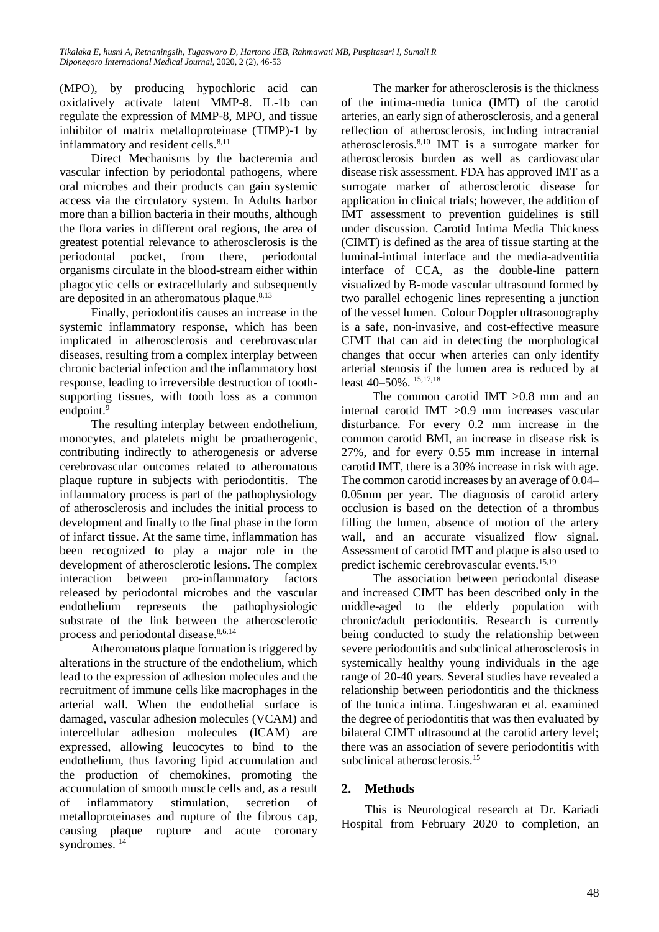(MPO), by producing hypochloric acid can oxidatively activate latent MMP-8. IL-1b can regulate the expression of MMP-8, MPO, and tissue inhibitor of matrix metalloproteinase (TIMP)-1 by inflammatory and resident cells. $8,11$ 

Direct Mechanisms by the bacteremia and vascular infection by periodontal pathogens, where oral microbes and their products can gain systemic access via the circulatory system. In Adults harbor more than a billion bacteria in their mouths, although the flora varies in different oral regions, the area of greatest potential relevance to atherosclerosis is the periodontal pocket, from there, periodontal organisms circulate in the blood-stream either within phagocytic cells or extracellularly and subsequently are deposited in an atheromatous plaque. $8,13$ 

Finally, periodontitis causes an increase in the systemic inflammatory response, which has been implicated in atherosclerosis and cerebrovascular diseases, resulting from a complex interplay between chronic bacterial infection and the inflammatory host response, leading to irreversible destruction of toothsupporting tissues, with tooth loss as a common endpoint. $9$ 

The resulting interplay between endothelium, monocytes, and platelets might be proatherogenic, contributing indirectly to atherogenesis or adverse cerebrovascular outcomes related to atheromatous plaque rupture in subjects with periodontitis. The inflammatory process is part of the pathophysiology of atherosclerosis and includes the initial process to development and finally to the final phase in the form of infarct tissue. At the same time, inflammation has been recognized to play a major role in the development of atherosclerotic lesions. The complex interaction between pro-inflammatory factors released by periodontal microbes and the vascular endothelium represents the pathophysiologic substrate of the link between the atherosclerotic process and periodontal disease.<sup>8,6,14</sup>

Atheromatous plaque formation is triggered by alterations in the structure of the endothelium, which lead to the expression of adhesion molecules and the recruitment of immune cells like macrophages in the arterial wall. When the endothelial surface is damaged, vascular adhesion molecules (VCAM) and intercellular adhesion molecules (ICAM) are expressed, allowing leucocytes to bind to the endothelium, thus favoring lipid accumulation and the production of chemokines, promoting the accumulation of smooth muscle cells and, as a result of inflammatory stimulation, secretion of metalloproteinases and rupture of the fibrous cap, causing plaque rupture and acute coronary syndromes.<sup>14</sup>

The marker for atherosclerosis is the thickness of the intima-media tunica (IMT) of the carotid arteries, an early sign of atherosclerosis, and a general reflection of atherosclerosis, including intracranial atherosclerosis. $8,10$  IMT is a surrogate marker for atherosclerosis burden as well as cardiovascular disease risk assessment. FDA has approved IMT as a surrogate marker of atherosclerotic disease for application in clinical trials; however, the addition of IMT assessment to prevention guidelines is still under discussion. Carotid Intima Media Thickness (CIMT) is defined as the area of tissue starting at the luminal-intimal interface and the media-adventitia interface of CCA, as the double-line pattern visualized by B-mode vascular ultrasound formed by two parallel echogenic lines representing a junction of the vessel lumen. Colour Doppler ultrasonography is a safe, non-invasive, and cost-effective measure CIMT that can aid in detecting the morphological changes that occur when arteries can only identify arterial stenosis if the lumen area is reduced by at least 40–50%. 15,17,18

The common carotid IMT >0.8 mm and an internal carotid IMT >0.9 mm increases vascular disturbance. For every 0.2 mm increase in the common carotid BMI, an increase in disease risk is 27%, and for every 0.55 mm increase in internal carotid IMT, there is a 30% increase in risk with age. The common carotid increases by an average of 0.04– 0.05mm per year. The diagnosis of carotid artery occlusion is based on the detection of a thrombus filling the lumen, absence of motion of the artery wall, and an accurate visualized flow signal. Assessment of carotid IMT and plaque is also used to predict ischemic cerebrovascular events.15,19

The association between periodontal disease and increased CIMT has been described only in the middle-aged to the elderly population with chronic/adult periodontitis. Research is currently being conducted to study the relationship between severe periodontitis and subclinical atherosclerosis in systemically healthy young individuals in the age range of 20-40 years. Several studies have revealed a relationship between periodontitis and the thickness of the tunica intima. Lingeshwaran et al. examined the degree of periodontitis that was then evaluated by bilateral CIMT ultrasound at the carotid artery level; there was an association of severe periodontitis with subclinical atherosclerosis.<sup>15</sup>

# **2. Methods**

This is Neurological research at Dr. Kariadi Hospital from February 2020 to completion, an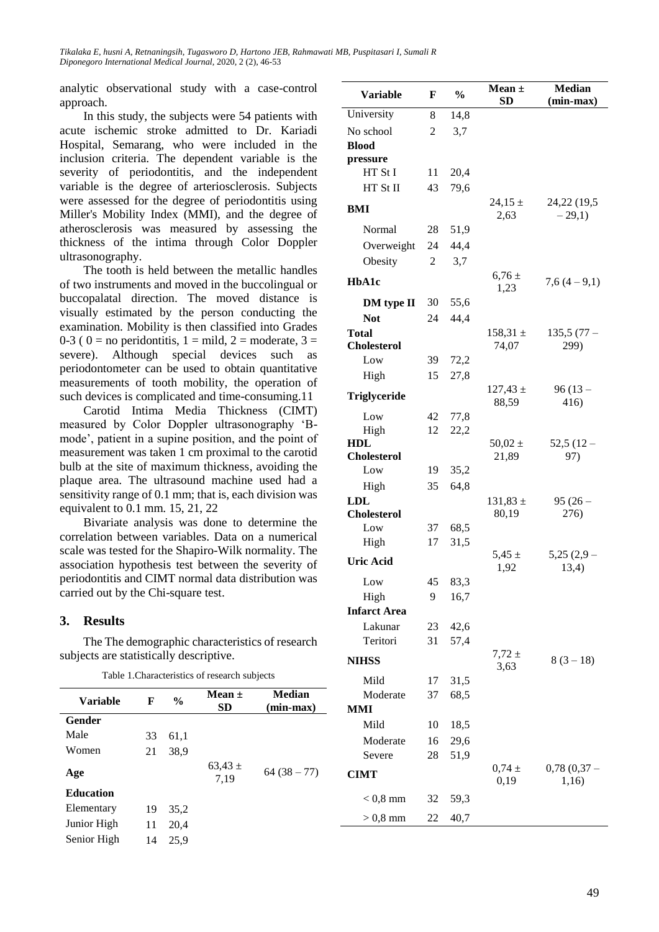*Tikalaka E, husni A, Retnaningsih, Tugasworo D, Hartono JEB, Rahmawati MB, Puspitasari I, Sumali R Diponegoro International Medical Journal,* 2020, 2 (2), 46-53

analytic observational study with a case-control approach.

In this study, the subjects were 54 patients with acute ischemic stroke admitted to Dr. Kariadi Hospital, Semarang, who were included in the inclusion criteria. The dependent variable is the severity of periodontitis, and the independent variable is the degree of arteriosclerosis. Subjects were assessed for the degree of periodontitis using Miller's Mobility Index (MMI), and the degree of atherosclerosis was measured by assessing the thickness of the intima through Color Doppler ultrasonography.

The tooth is held between the metallic handles of two instruments and moved in the buccolingual or buccopalatal direction. The moved distance is visually estimated by the person conducting the examination. Mobility is then classified into Grades 0-3 (  $0 =$  no peridontitis,  $1 =$  mild,  $2 =$  moderate,  $3 =$ severe). Although special devices such as periodontometer can be used to obtain quantitative measurements of tooth mobility, the operation of such devices is complicated and time-consuming.11

Carotid Intima Media Thickness (CIMT) measured by Color Doppler ultrasonography 'Bmode', patient in a supine position, and the point of measurement was taken 1 cm proximal to the carotid bulb at the site of maximum thickness, avoiding the plaque area. The ultrasound machine used had a sensitivity range of 0.1 mm; that is, each division was equivalent to 0.1 mm. 15, 21, 22

Bivariate analysis was done to determine the correlation between variables. Data on a numerical scale was tested for the Shapiro-Wilk normality. The association hypothesis test between the severity of periodontitis and CIMT normal data distribution was carried out by the Chi-square test.

#### **3. Results**

The The demographic characteristics of research subjects are statistically descriptive.

Table 1.Characteristics of research subjects

| F  | $\frac{0}{0}$ | Mean $\pm$<br><b>SD</b> | Median<br>(min-max) |
|----|---------------|-------------------------|---------------------|
|    |               |                         |                     |
| 33 | 61,1          |                         |                     |
| 21 | 38,9          |                         |                     |
|    |               | $63,43 \pm$<br>7,19     | $64(38-77)$         |
|    |               |                         |                     |
| 19 | 35,2          |                         |                     |
| 11 | 20,4          |                         |                     |
| 14 | 25,9          |                         |                     |
|    |               |                         |                     |

| <b>Variable</b>                    | F        | $\frac{0}{0}$ | Mean $\pm$            | <b>Median</b>        |
|------------------------------------|----------|---------------|-----------------------|----------------------|
|                                    |          |               | <b>SD</b>             | $(min-max)$          |
| University                         | 8        | 14,8          |                       |                      |
| No school                          | 2        | 3,7           |                       |                      |
| <b>Blood</b>                       |          |               |                       |                      |
| pressure<br>HT St I                | 11       | 20,4          |                       |                      |
| HT St II                           | 43       | 79,6          |                       |                      |
|                                    |          |               | $24,15 \pm$           | 24,22 (19,5          |
| BMI                                |          |               | 2,63                  | $-29,1)$             |
| Normal                             | 28       | 51,9          |                       |                      |
| Overweight                         | 24       | 44,4          |                       |                      |
| Obesity                            | 2        | 3,7           |                       |                      |
| HbA1c                              |          |               | $6,76 \pm$<br>1,23    | $7,6(4-9,1)$         |
| DM type II                         | 30       | 55,6          |                       |                      |
| <b>Not</b>                         | 24       | 44,4          |                       |                      |
| <b>Total</b><br><b>Cholesterol</b> |          |               | $158,31 \pm$<br>74,07 | $135,5(77 -$<br>299) |
| Low                                | 39       | 72,2          |                       |                      |
| High                               | 15       | 27,8          |                       |                      |
| <b>Triglyceride</b>                |          |               | $127,43 \pm$<br>88,59 | $96(13 -$<br>416)    |
| Low                                | 42       | 77,8          |                       |                      |
| High                               | 12       | 22,2          |                       |                      |
| <b>HDL</b><br><b>Cholesterol</b>   |          |               | $50,02 \pm$<br>21,89  | $52,5(12-$<br>97)    |
| Low                                | 19       | 35,2          |                       |                      |
| High                               | 35       | 64,8          |                       |                      |
| LDL                                |          |               | $131,83 \pm$          | $95(26 -$            |
| <b>Cholesterol</b>                 |          |               | 80,19                 | 276)                 |
| Low                                | 37       | 68,5          |                       |                      |
| High                               | 17       | 31,5          |                       |                      |
| <b>Uric Acid</b>                   |          |               | $5,45 \pm$<br>1,92    | $5,25(2,9-$<br>13,4) |
| Low                                | 45       | 83,3          |                       |                      |
| High                               | 9        | 16,7          |                       |                      |
| <b>Infarct Area</b>                |          |               |                       |                      |
| Lakunar                            | 23       | 42,6          |                       |                      |
| Teritori                           | 31       | 57,4          | $7,72 \pm$            |                      |
| <b>NIHSS</b>                       |          |               | 3,63                  | $8(3-18)$            |
| Mild<br>Moderate                   | 17<br>37 | 31,5<br>68,5  |                       |                      |
| MMI                                |          |               |                       |                      |
| Mild                               | 10       | 18,5          |                       |                      |
| Moderate                           | 16       | 29,6          |                       |                      |
| Severe                             | 28       | 51,9          |                       |                      |
|                                    |          |               | $0,74 \pm$            | $0,78(0,37 -$        |
| <b>CIMT</b>                        |          |               | 0,19                  | 1,16)                |
| $< 0.8$ mm                         | 32       | 59,3          |                       |                      |
| $> 0.8$ mm                         | 22       | 40,7          |                       |                      |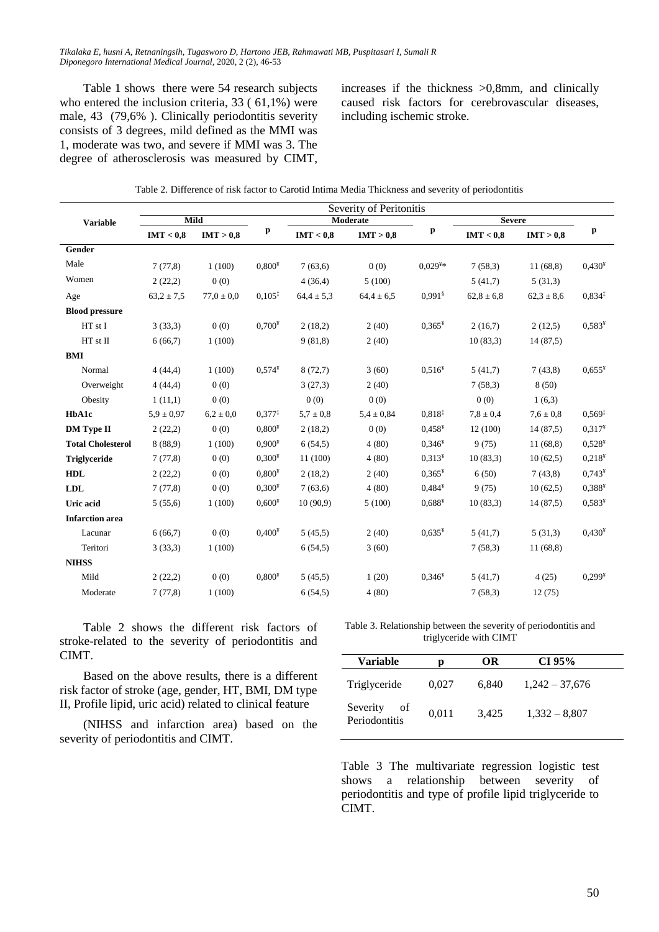Table 1 shows there were 54 research subjects who entered the inclusion criteria, 33 ( 61,1%) were male, 43 (79,6%). Clinically periodontitis severity consists of 3 degrees, mild defined as the MMI was 1, moderate was two, and severe if MMI was 3. The degree of atherosclerosis was measured by CIMT, increases if the thickness >0,8mm, and clinically caused risk factors for cerebrovascular diseases, including ischemic stroke.

|                          |                |                |          |                | Severity of Peritonitis |                       |                |                |                    |
|--------------------------|----------------|----------------|----------|----------------|-------------------------|-----------------------|----------------|----------------|--------------------|
| <b>Variable</b>          |                | Mild           |          |                | Moderate                |                       | <b>Severe</b>  |                |                    |
|                          | IMT < 0.8      | IMT > 0.8      | p        | IMT < 0.8      | IMT > 0.8               | p                     | IMT < 0.8      | IMT > 0.8      | p                  |
| Gender                   |                |                |          |                |                         |                       |                |                |                    |
| Male                     | 7(77,8)        | 1(100)         | $0.800*$ | 7(63,6)        | 0(0)                    | $0.029**$             | 7(58,3)        | 11(68,8)       | $0.430*$           |
| Women                    | 2(22,2)        | 0(0)           |          | 4(36,4)        | 5(100)                  |                       | 5(41,7)        | 5(31,3)        |                    |
| Age                      | $63.2 \pm 7.5$ | $77.0 \pm 0.0$ | $0.105*$ | $64.4 \pm 5.3$ | $64.4 \pm 6.5$          | $0.991$ <sup>§</sup>  | $62,8 \pm 6,8$ | $62,3 \pm 8,6$ | $0,834*$           |
| <b>Blood pressure</b>    |                |                |          |                |                         |                       |                |                |                    |
| HT st I                  | 3(33,3)        | 0(0)           | $0,700*$ | 2(18,2)        | 2(40)                   | $0.365*$              | 2(16,7)        | 2(12,5)        | $0.583*$           |
| HT st II                 | 6(66,7)        | 1(100)         |          | 9(81,8)        | 2(40)                   |                       | 10(83,3)       | 14(87,5)       |                    |
| <b>BMI</b>               |                |                |          |                |                         |                       |                |                |                    |
| Normal                   | 4(44,4)        | 1(100)         | $0.574*$ | 8(72,7)        | 3(60)                   | 0,516 <sup>4</sup>    | 5(41,7)        | 7(43,8)        | $0,655*$           |
| Overweight               | 4(44,4)        | 0(0)           |          | 3(27,3)        | 2(40)                   |                       | 7(58,3)        | 8(50)          |                    |
| Obesity                  | 1(11,1)        | 0(0)           |          | 0(0)           | 0(0)                    |                       | 0(0)           | 1(6,3)         |                    |
| HbA1c                    | $5.9 \pm 0.97$ | $6.2 \pm 0.0$  | $0,377*$ | $5.7 \pm 0.8$  | $5.4 \pm 0.84$          | $0.818^{1}$           | $7,8 \pm 0,4$  | $7.6 \pm 0.8$  | $0,569^{\ddagger}$ |
| <b>DM</b> Type II        | 2(22,2)        | 0(0)           | $0,800*$ | 2(18,2)        | 0(0)                    | $0.458*$              | 12(100)        | 14(87,5)       | 0,317 <sup>4</sup> |
| <b>Total Cholesterol</b> | 8(88,9)        | 1(100)         | $0.900*$ | 6(54,5)        | 4(80)                   | $0,346^{\frac{1}{4}}$ | 9(75)          | 11(68,8)       | $0,528*$           |
| <b>Triglyceride</b>      | 7(77,8)        | 0(0)           | $0.300*$ | 11(100)        | 4(80)                   | $0.313^{4}$           | 10(83,3)       | 10(62,5)       | 0,218 <sup>4</sup> |
| <b>HDL</b>               | 2(22,2)        | 0(0)           | $0.800*$ | 2(18,2)        | 2(40)                   | $0.365*$              | 6(50)          | 7(43,8)        | $0,743*$           |
| <b>LDL</b>               | 7(77,8)        | 0(0)           | $0.300*$ | 7(63,6)        | 4(80)                   | $0.484*$              | 9(75)          | 10(62,5)       | $0,388*$           |
| Uric acid                | 5(55,6)        | 1(100)         | $0,600*$ | 10(90,9)       | 5(100)                  | $0,688*$              | 10(83,3)       | 14(87,5)       | $0,583*$           |
| <b>Infarction</b> area   |                |                |          |                |                         |                       |                |                |                    |
| Lacunar                  | 6(66,7)        | 0(0)           | $0,400*$ | 5(45,5)        | 2(40)                   | $0.635*$              | 5(41,7)        | 5(31,3)        | $0,430*$           |
| Teritori                 | 3(33,3)        | 1(100)         |          | 6(54,5)        | 3(60)                   |                       | 7(58,3)        | 11(68,8)       |                    |
| <b>NIHSS</b>             |                |                |          |                |                         |                       |                |                |                    |
| Mild                     | 2(22,2)        | 0(0)           | $0.800*$ | 5(45,5)        | 1(20)                   | $0.346*$              | 5(41,7)        | 4(25)          | $0,299*$           |
| Moderate                 | 7(77,8)        | 1(100)         |          | 6(54,5)        | 4(80)                   |                       | 7(58,3)        | 12(75)         |                    |

Table 2. Difference of risk factor to Carotid Intima Media Thickness and severity of periodontitis

Table 2 shows the different risk factors of stroke-related to the severity of periodontitis and CIMT.

Based on the above results, there is a different risk factor of stroke (age, gender, HT, BMI, DM type II, Profile lipid, uric acid) related to clinical feature

(NIHSS and infarction area) based on the severity of periodontitis and CIMT.

Table 3. Relationship between the severity of periodontitis and triglyceride with CIMT

| <b>Variable</b>                 | D     | OR    | CI 95%           |
|---------------------------------|-------|-------|------------------|
| Triglyceride                    | 0,027 | 6.840 | $1,242 - 37,676$ |
| Severity<br>οf<br>Periodontitis | 0,011 | 3.425 | $1,332 - 8,807$  |

Table 3 The multivariate regression logistic test shows a relationship between severity of periodontitis and type of profile lipid triglyceride to CIMT.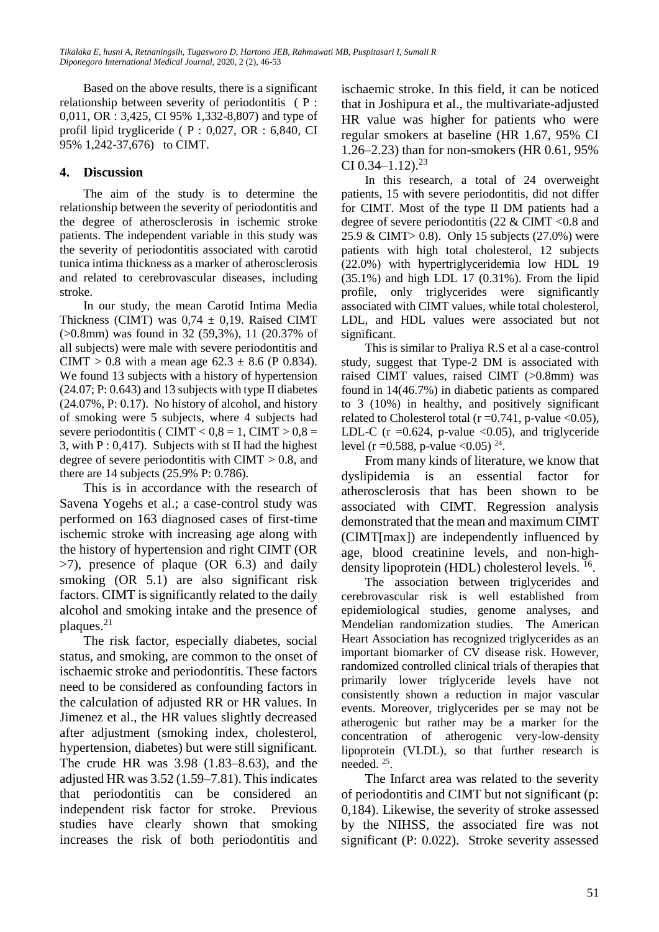Based on the above results, there is a significant relationship between severity of periodontitis (P: 0,011, OR : 3,425, CI 95% 1,332-8,807) and type of profil lipid trygliceride ( P : 0,027, OR : 6,840, CI 95% 1,242-37,676) to CIMT.

# **4. Discussion**

The aim of the study is to determine the relationship between the severity of periodontitis and the degree of atherosclerosis in ischemic stroke patients. The independent variable in this study was the severity of periodontitis associated with carotid tunica intima thickness as a marker of atherosclerosis and related to cerebrovascular diseases, including stroke.

In our study, the mean Carotid Intima Media Thickness (CIMT) was  $0.74 \pm 0.19$ . Raised CIMT (>0.8mm) was found in 32 (59,3%), 11 (20.37% of all subjects) were male with severe periodontitis and CIMT > 0.8 with a mean age  $62.3 \pm 8.6$  (P 0.834). We found 13 subjects with a history of hypertension (24.07; P: 0.643) and 13 subjects with type II diabetes (24.07%, P: 0.17). No history of alcohol, and history of smoking were 5 subjects, where 4 subjects had severe periodontitis ( CIMT  $< 0.8 = 1$ , CIMT  $> 0.8 = 1$ 3, with  $P: 0,417$ . Subjects with st II had the highest degree of severe periodontitis with CIMT  $> 0.8$ , and there are 14 subjects (25.9% P: 0.786).

This is in accordance with the research of Savena Yogehs et al.; a case-control study was performed on 163 diagnosed cases of first-time ischemic stroke with increasing age along with the history of hypertension and right CIMT (OR >7), presence of plaque (OR 6.3) and daily smoking (OR 5.1) are also significant risk factors. CIMT is significantly related to the daily alcohol and smoking intake and the presence of plaques.<sup>21</sup>

The risk factor, especially diabetes, social status, and smoking, are common to the onset of ischaemic stroke and periodontitis. These factors need to be considered as confounding factors in the calculation of adjusted RR or HR values. In Jimenez et al., the HR values slightly decreased after adjustment (smoking index, cholesterol, hypertension, diabetes) but were still significant. The crude HR was 3.98 (1.83–8.63), and the adjusted HR was 3.52 (1.59–7.81). This indicates that periodontitis can be considered an independent risk factor for stroke. Previous studies have clearly shown that smoking increases the risk of both periodontitis and ischaemic stroke. In this field, it can be noticed that in Joshipura et al., the multivariate-adjusted HR value was higher for patients who were regular smokers at baseline (HR 1.67, 95% CI 1.26–2.23) than for non-smokers (HR 0.61, 95% CI  $0.34 - 1.12$ )<sup>23</sup>

In this research, a total of 24 overweight patients, 15 with severe periodontitis, did not differ for CIMT. Most of the type II DM patients had a degree of severe periodontitis (22  $& \text{CIMT} < 0.8 \text{ and }$ 25.9 & CIMT> 0.8). Only 15 subjects (27.0%) were patients with high total cholesterol, 12 subjects (22.0%) with hypertriglyceridemia low HDL 19 (35.1%) and high LDL 17 (0.31%). From the lipid profile, only triglycerides were significantly associated with CIMT values, while total cholesterol, LDL, and HDL values were associated but not significant.

This is similar to Praliya R.S et al a case-control study, suggest that Type-2 DM is associated with raised CIMT values, raised CIMT (>0.8mm) was found in 14(46.7%) in diabetic patients as compared to 3 (10%) in healthy, and positively significant related to Cholesterol total ( $r = 0.741$ , p-value <0.05), LDL-C ( $r = 0.624$ , p-value <0.05), and triglyceride level (r = 0.588, p-value < 0.05)  $^{24}$ .

From many kinds of literature, we know that dyslipidemia is an essential factor for atherosclerosis that has been shown to be associated with CIMT. Regression analysis demonstrated that the mean and maximum CIMT (CIMT[max]) are independently influenced by age, blood creatinine levels, and non-highdensity lipoprotein (HDL) cholesterol levels.<sup>16</sup>.

The association between triglycerides and cerebrovascular risk is well established from epidemiological studies, genome analyses, and Mendelian randomization studies. The American Heart Association has recognized triglycerides as an important biomarker of CV disease risk. However, randomized controlled clinical trials of therapies that primarily lower triglyceride levels have not consistently shown a reduction in major vascular events. Moreover, triglycerides per se may not be atherogenic but rather may be a marker for the concentration of atherogenic very-low-density lipoprotein (VLDL), so that further research is needed. <sup>25</sup> .

The Infarct area was related to the severity of periodontitis and CIMT but not significant (p: 0,184). Likewise, the severity of stroke assessed by the NIHSS, the associated fire was not significant (P: 0.022). Stroke severity assessed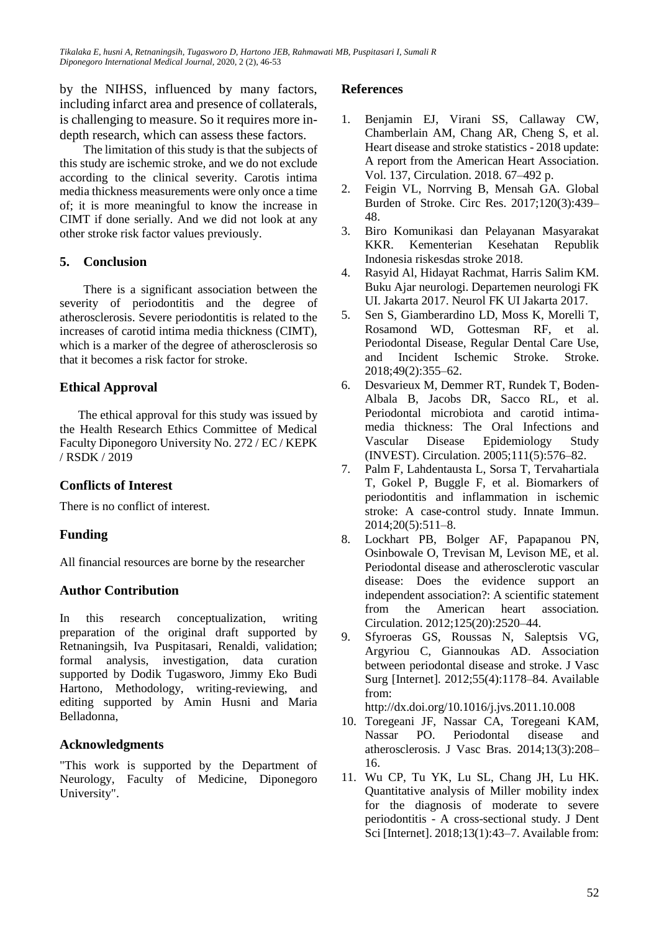*Tikalaka E, husni A, Retnaningsih, Tugasworo D, Hartono JEB, Rahmawati MB, Puspitasari I, Sumali R Diponegoro International Medical Journal,* 2020, 2 (2), 46-53

by the NIHSS, influenced by many factors, including infarct area and presence of collaterals, is challenging to measure. So it requires more indepth research, which can assess these factors.

The limitation of this study is that the subjects of this study are ischemic stroke, and we do not exclude according to the clinical severity. Carotis intima media thickness measurements were only once a time of; it is more meaningful to know the increase in CIMT if done serially. And we did not look at any other stroke risk factor values previously.

### **5. Conclusion**

There is a significant association between the severity of periodontitis and the degree of atherosclerosis. Severe periodontitis is related to the increases of carotid intima media thickness (CIMT), which is a marker of the degree of atherosclerosis so that it becomes a risk factor for stroke.

# **Ethical Approval**

The ethical approval for this study was issued by the Health Research Ethics Committee of Medical Faculty Diponegoro University No. 272 / EC / KEPK / RSDK / 2019

# **Conflicts of Interest**

There is no conflict of interest.

# **Funding**

All financial resources are borne by the researcher

#### **Author Contribution**

In this research conceptualization, writing preparation of the original draft supported by Retnaningsih, Iva Puspitasari, Renaldi, validation; formal analysis, investigation, data curation supported by Dodik Tugasworo, Jimmy Eko Budi Hartono, Methodology, writing-reviewing, and editing supported by Amin Husni and Maria Belladonna,

# **Acknowledgments**

"This work is supported by the Department of Neurology, Faculty of Medicine, Diponegoro University".

#### **References**

- 1. Benjamin EJ, Virani SS, Callaway CW, Chamberlain AM, Chang AR, Cheng S, et al. Heart disease and stroke statistics - 2018 update: A report from the American Heart Association. Vol. 137, Circulation. 2018. 67–492 p.
- 2. Feigin VL, Norrving B, Mensah GA. Global Burden of Stroke. Circ Res. 2017;120(3):439– 48.
- 3. Biro Komunikasi dan Pelayanan Masyarakat KKR. Kementerian Kesehatan Republik Indonesia riskesdas stroke 2018.
- 4. Rasyid Al, Hidayat Rachmat, Harris Salim KM. Buku Ajar neurologi. Departemen neurologi FK UI. Jakarta 2017. Neurol FK UI Jakarta 2017.
- 5. Sen S, Giamberardino LD, Moss K, Morelli T, Rosamond WD, Gottesman RF, et al. Periodontal Disease, Regular Dental Care Use, and Incident Ischemic Stroke. Stroke. 2018;49(2):355–62.
- 6. Desvarieux M, Demmer RT, Rundek T, Boden-Albala B, Jacobs DR, Sacco RL, et al. Periodontal microbiota and carotid intimamedia thickness: The Oral Infections and Vascular Disease Epidemiology Study (INVEST). Circulation. 2005;111(5):576–82.
- 7. Palm F, Lahdentausta L, Sorsa T, Tervahartiala T, Gokel P, Buggle F, et al. Biomarkers of periodontitis and inflammation in ischemic stroke: A case-control study. Innate Immun. 2014;20(5):511–8.
- 8. Lockhart PB, Bolger AF, Papapanou PN, Osinbowale O, Trevisan M, Levison ME, et al. Periodontal disease and atherosclerotic vascular disease: Does the evidence support an independent association?: A scientific statement from the American heart association. Circulation. 2012;125(20):2520–44.
- 9. Sfyroeras GS, Roussas N, Saleptsis VG, Argyriou C, Giannoukas AD. Association between periodontal disease and stroke. J Vasc Surg [Internet]. 2012;55(4):1178–84. Available from:

http://dx.doi.org/10.1016/j.jvs.2011.10.008

- 10. Toregeani JF, Nassar CA, Toregeani KAM, Nassar PO. Periodontal disease and atherosclerosis. J Vasc Bras. 2014;13(3):208– 16.
- 11. Wu CP, Tu YK, Lu SL, Chang JH, Lu HK. Quantitative analysis of Miller mobility index for the diagnosis of moderate to severe periodontitis - A cross-sectional study. J Dent Sci [Internet]. 2018;13(1):43–7. Available from: